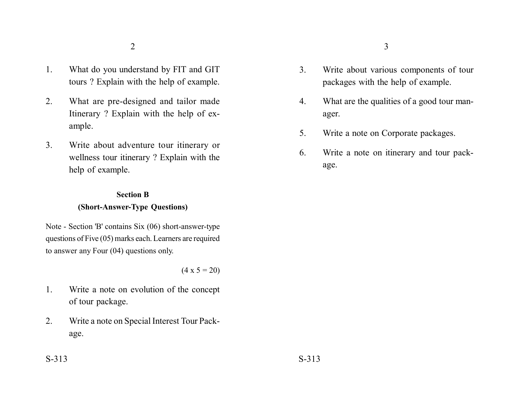- 1. What do you understand by FIT and GIT tours ? Explain with the help of example.
- 2. What are pre-designed and tailor made Itinerary ? Explain with the help of example.
- 3. Write about adventure tour itinerary or wellness tour itinerary ? Explain with the help of example.

### **Section B**

### **(Short-Answer-Type Questions)**

Note - Section 'B' contains Six (06) short-answer-type questions of Five (05) marks each. Learners are required to answer any Four (04) questions only.

 $(4 \times 5 = 20)$ 

- 1. Write a note on evolution of the concept of tour package.
- 2. Write a note on Special Interest Tour Package.
- 3. Write about various components of tour packages with the help of example.
- 4. What are the qualities of a good tour manager.
- 5. Write a note on Corporate packages.
- 6. Write a note on itinerary and tour package.